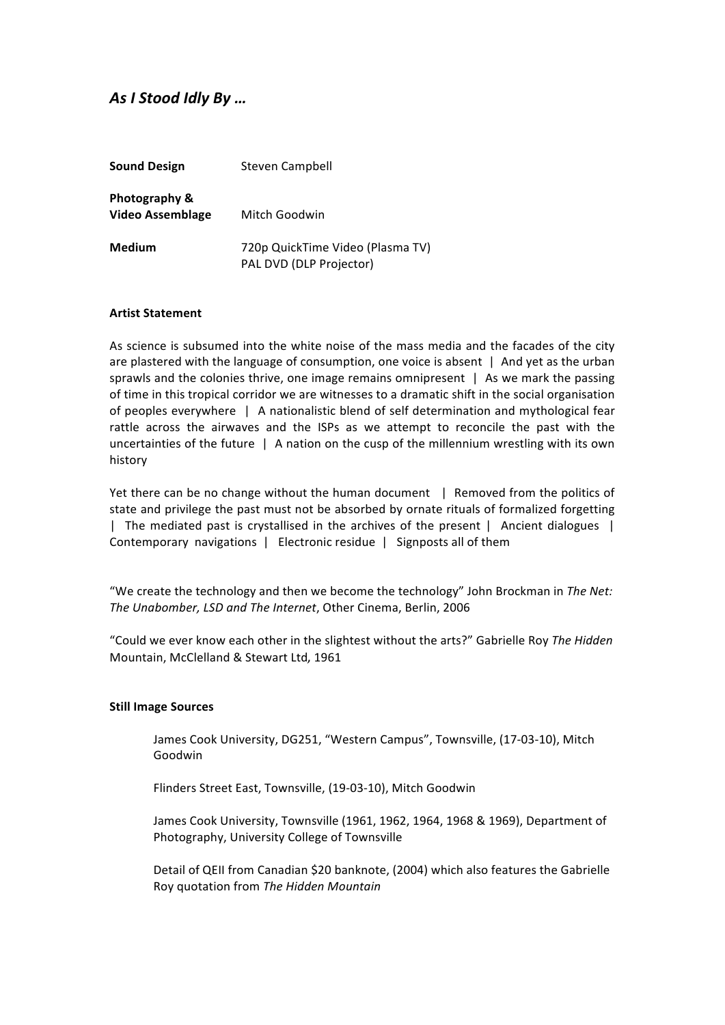# As I Stood Idly By ...

| <b>Sound Design</b>                      | <b>Steven Campbell</b>                                      |
|------------------------------------------|-------------------------------------------------------------|
| Photography &<br><b>Video Assemblage</b> | Mitch Goodwin                                               |
| Medium                                   | 720p QuickTime Video (Plasma TV)<br>PAL DVD (DLP Projector) |

# **Artist Statement**

As science is subsumed into the white noise of the mass media and the facades of the city are plastered with the language of consumption, one voice is absent  $\parallel$  And yet as the urban sprawls and the colonies thrive, one image remains omnipresent | As we mark the passing of time in this tropical corridor we are witnesses to a dramatic shift in the social organisation of peoples everywhere | A nationalistic blend of self determination and mythological fear rattle across the airwaves and the ISPs as we attempt to reconcile the past with the uncertainties of the future | A nation on the cusp of the millennium wrestling with its own history

Yet there can be no change without the human document | Removed from the politics of state and privilege the past must not be absorbed by ornate rituals of formalized forgetting | The mediated past is crystallised in the archives of the present | Ancient dialogues | Contemporary navigations | Electronic residue | Signposts all of them

"We create the technology and then we become the technology" John Brockman in The Net: The Unabomber, LSD and The Internet, Other Cinema, Berlin, 2006

"Could we ever know each other in the slightest without the arts?" Gabrielle Roy The Hidden Mountain, McClelland & Stewart Ltd, 1961

## **Still Image Sources**

James Cook University, DG251, "Western Campus", Townsville, (17-03-10), Mitch Goodwin

Flinders Street East, Townsville, (19-03-10), Mitch Goodwin

James Cook University, Townsville (1961, 1962, 1964, 1968 & 1969), Department of Photography, University College of Townsville

Detail of QEII from Canadian \$20 banknote, (2004) which also features the Gabrielle Roy quotation from The Hidden Mountain